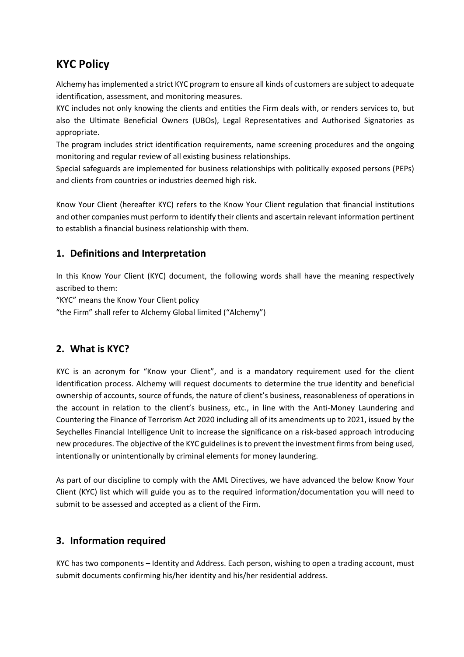# **KYC Policy**

Alchemy has implemented a strict KYC program to ensure all kinds of customers are subject to adequate identification, assessment, and monitoring measures.

KYC includes not only knowing the clients and entities the Firm deals with, or renders services to, but also the Ultimate Beneficial Owners (UBOs), Legal Representatives and Authorised Signatories as appropriate.

The program includes strict identification requirements, name screening procedures and the ongoing monitoring and regular review of all existing business relationships.

Special safeguards are implemented for business relationships with politically exposed persons (PEPs) and clients from countries or industries deemed high risk.

Know Your Client (hereafter KYC) refers to the Know Your Client regulation that financial institutions and other companies must perform to identify their clients and ascertain relevant information pertinent to establish a financial business relationship with them.

## **1. Definitions and Interpretation**

In this Know Your Client (KYC) document, the following words shall have the meaning respectively ascribed to them:

"KYC" means the Know Your Client policy

"the Firm" shall refer to Alchemy Global limited ("Alchemy")

# **2. What is KYC?**

KYC is an acronym for "Know your Client", and is a mandatory requirement used for the client identification process. Alchemy will request documents to determine the true identity and beneficial ownership of accounts, source of funds, the nature of client's business, reasonableness of operations in the account in relation to the client's business, etc., in line with the Anti-Money Laundering and Countering the Finance of Terrorism Act 2020 including all of its amendments up to 2021, issued by the Seychelles Financial Intelligence Unit to increase the significance on a risk-based approach introducing new procedures. The objective of the KYC guidelines is to prevent the investment firms from being used, intentionally or unintentionally by criminal elements for money laundering.

As part of our discipline to comply with the AML Directives, we have advanced the below Know Your Client (KYC) list which will guide you as to the required information/documentation you will need to submit to be assessed and accepted as a client of the Firm.

#### **3. Information required**

KYC has two components – Identity and Address. Each person, wishing to open a trading account, must submit documents confirming his/her identity and his/her residential address.